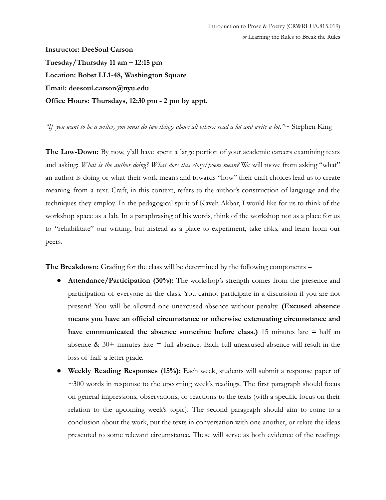**Instructor: DeeSoul Carson Tuesday/Thursday 11 am – 12:15 pm Location: Bobst LL1-48, Washington Square Email: deesoul.carson@nyu.edu Office Hours: Thursdays, 12:30 pm - 2 pm by appt.**

*"If you want to be a writer, you must do two things above all others: read a lot and write a lot."*~ Stephen King

**The Low-Down:** By now, y'all have spent a large portion of your academic careers examining texts and asking: *What is the author doing? What does this story/poem mean?* We will move from asking "what" an author is doing or what their work means and towards "how" their craft choices lead us to create meaning from a text. Craft, in this context, refers to the author's construction of language and the techniques they employ. In the pedagogical spirit of Kaveh Akbar, I would like for us to think of the workshop space as a lab. In a paraphrasing of his words, think of the workshop not as a place for us to "rehabilitate" our writing, but instead as a place to experiment, take risks, and learn from our peers.

**The Breakdown:** Grading for the class will be determined by the following components –

- **Attendance/Participation (30%):** The workshop's strength comes from the presence and participation of everyone in the class. You cannot participate in a discussion if you are not present! You will be allowed one unexcused absence without penalty. **(Excused absence means you have an official circumstance or otherwise extenuating circumstance and have communicated the absence sometime before class.)** 15 minutes late = half an absence  $\&$  30+ minutes late = full absence. Each full unexcused absence will result in the loss of half a letter grade.
- **● Weekly Reading Responses (15%):** Each week, students will submit a response paper of  $\sim$ 300 words in response to the upcoming week's readings. The first paragraph should focus on general impressions, observations, or reactions to the texts (with a specific focus on their relation to the upcoming week's topic). The second paragraph should aim to come to a conclusion about the work, put the texts in conversation with one another, or relate the ideas presented to some relevant circumstance. These will serve as both evidence of the readings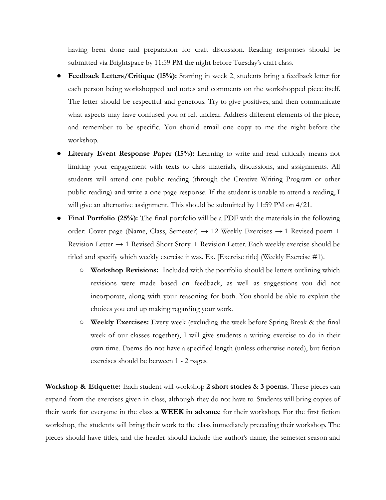having been done and preparation for craft discussion. Reading responses should be submitted via Brightspace by 11:59 PM the night before Tuesday's craft class.

- **Feedback Letters/Critique (15%):** Starting in week 2, students bring a feedback letter for each person being workshopped and notes and comments on the workshopped piece itself. The letter should be respectful and generous. Try to give positives, and then communicate what aspects may have confused you or felt unclear. Address different elements of the piece, and remember to be specific. You should email one copy to me the night before the workshop.
- **Literary Event Response Paper (15%):** Learning to write and read critically means not limiting your engagement with texts to class materials, discussions, and assignments. All students will attend one public reading (through the Creative Writing Program or other public reading) and write a one-page response. If the student is unable to attend a reading, I will give an alternative assignment. This should be submitted by 11:59 PM on 4/21.
- **Final Portfolio (25%):** The final portfolio will be a PDF with the materials in the following order: Cover page (Name, Class, Semester)  $\rightarrow$  12 Weekly Exercises  $\rightarrow$  1 Revised poem + Revision Letter  $\rightarrow$  1 Revised Short Story + Revision Letter. Each weekly exercise should be titled and specify which weekly exercise it was. Ex. [Exercise title] (Weekly Exercise #1).
	- **○ Workshop Revisions:** Included with the portfolio should be letters outlining which revisions were made based on feedback, as well as suggestions you did not incorporate, along with your reasoning for both. You should be able to explain the choices you end up making regarding your work.
	- **○ Weekly Exercises:** Every week (excluding the week before Spring Break & the final week of our classes together), I will give students a writing exercise to do in their own time. Poems do not have a specified length (unless otherwise noted), but fiction exercises should be between 1 - 2 pages.

**Workshop & Etiquette:** Each student will workshop 2 short stories & 3 poems. These pieces can expand from the exercises given in class, although they do not have to. Students will bring copies of their work for everyone in the class **a WEEK in advance** for their workshop. For the first fiction workshop, the students will bring their work to the class immediately preceding their workshop. The pieces should have titles, and the header should include the author's name, the semester season and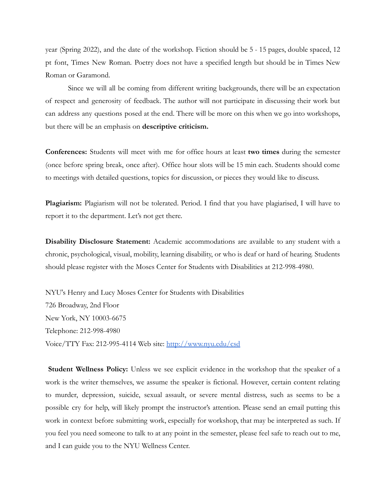year (Spring 2022), and the date of the workshop. Fiction should be 5 - 15 pages, double spaced, 12 pt font, Times New Roman. Poetry does not have a specified length but should be in Times New Roman or Garamond.

Since we will all be coming from different writing backgrounds, there will be an expectation of respect and generosity of feedback. The author will not participate in discussing their work but can address any questions posed at the end. There will be more on this when we go into workshops, but there will be an emphasis on **descriptive criticism.**

**Conferences:** Students will meet with me for office hours at least **two times** during the semester (once before spring break, once after). Office hour slots will be 15 min each. Students should come to meetings with detailed questions, topics for discussion, or pieces they would like to discuss.

**Plagiarism:** Plagiarism will not be tolerated. Period. I find that you have plagiarised, I will have to report it to the department. Let's not get there.

**Disability Disclosure Statement:** Academic accommodations are available to any student with a chronic, psychological, visual, mobility, learning disability, or who is deaf or hard of hearing. Students should please register with the Moses Center for Students with Disabilities at 212-998-4980.

NYU's Henry and Lucy Moses Center for Students with Disabilities 726 Broadway, 2nd Floor New York, NY 10003-6675 Telephone: 212-998-4980 Voice/TTY Fax: 212-995-4114 Web site: <http://www.nyu.edu/csd>

**Student Wellness Policy:** Unless we see explicit evidence in the workshop that the speaker of a work is the writer themselves, we assume the speaker is fictional. However, certain content relating to murder, depression, suicide, sexual assault, or severe mental distress, such as seems to be a possible cry for help, will likely prompt the instructor's attention. Please send an email putting this work in context before submitting work, especially for workshop, that may be interpreted as such. If you feel you need someone to talk to at any point in the semester, please feel safe to reach out to me, and I can guide you to the NYU Wellness Center.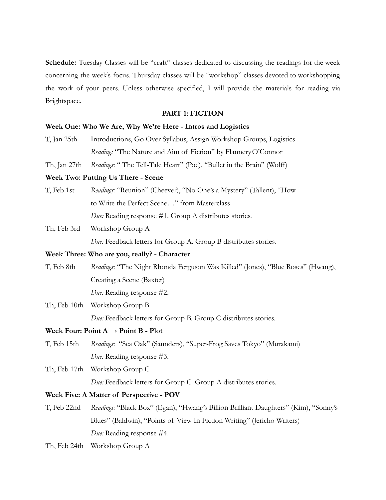Schedule: Tuesday Classes will be "craft" classes dedicated to discussing the readings for the week concerning the week's focus. Thursday classes will be "workshop" classes devoted to workshopping the work of your peers. Unless otherwise specified, I will provide the materials for reading via Brightspace.

#### **PART 1: FICTION**

#### **Week One: Who We Are, Why We're Here - Intros and Logistics**

- T, Jan 25th Introductions, Go Over Syllabus, Assign Workshop Groups, Logistics *Reading:* "The Nature and Aim of Fiction" by FlanneryO'Connor
- Th, Jan 27th *Readings:* " The Tell-Tale Heart" (Poe), "Bullet in the Brain" (Wolff)

### **Week Two: Putting Us There - Scene**

T, Feb 1st *Readings:* "Reunion" (Cheever), "No One's a Mystery" (Tallent), "How to Write the Perfect Scene…" from Masterclass *Due:* Reading response #1. Group A distributes stories.

# Th, Feb 3rd Workshop Group A

*Due:* Feedback letters for Group A. Group B distributes stories.

# **Week Three: Who are you, really? - Character**

T, Feb 8th *Readings:* "The Night Rhonda Ferguson Was Killed" (Jones), "Blue Roses" (Hwang), Creating a Scene (Baxter) *Due:* Reading response #2.

Th, Feb 10th Workshop Group B *Due:* Feedback letters for Group B. Group C distributes stories.

# **Week Four: Point A → Point B - Plot**

- T, Feb 15th *Readings:* "Sea Oak" (Saunders), "Super-Frog Saves Tokyo" (Murakami) *Due:* Reading response #3.
- Th, Feb 17th Workshop Group C *Due:* Feedback letters for Group C. Group A distributes stories.

# **Week Five: A Matter of Perspective - POV**

- T, Feb 22nd *Readings:* "Black Box" (Egan), "Hwang's Billion Brilliant Daughters" (Kim), "Sonny's Blues" (Baldwin), "Points of View In Fiction Writing" (Jericho Writers) *Due:* Reading response #4.
- Th, Feb 24th Workshop Group A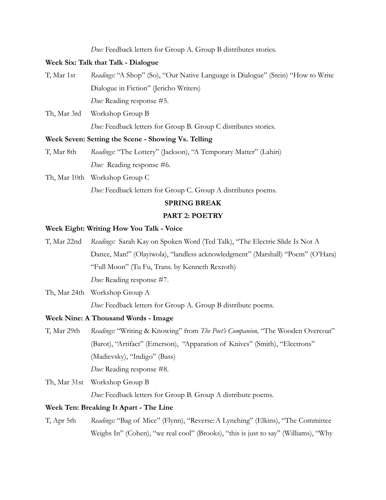*Due:* Feedback letters for Group A. Group B distributes stories.

# **Week Six: Talk that Talk - Dialogue**

- T, Mar 1st *Readings:* "A Shop" (So), "Our Native Language is Dialogue" (Stein) "How to Write Dialogue in Fiction" (Jericho Writers) *Due:* Reading response #5.
- Th, Mar 3rd Workshop Group B *Due:* Feedback letters for Group B. Group C distributes stories.

#### **Week Seven: Setting the Scene - Showing Vs. Telling**

- T, Mar 8th *Readings:* "The Lottery" (Jackson), "A Temporary Matter" (Lahiri) *Due:* Reading response #6.
- Th, Mar 10th Workshop Group C

*Due:* Feedback letters for Group C. Group A distributes poems.

# **SPRING BREAK**

# **PART 2: POETRY**

# **Week Eight: Writing How You Talk - Voice**

- T, Mar 22nd *Readings:* Sarah Kay on Spoken Word (Ted Talk), "The Electric Slide Is Not A Dance, Man!" (Olayiwola), "landless acknowledgment" (Marshall) "Poem" (O'Hara) "Full Moon" (Tu Fu, Trans. by Kenneth Rexroth) *Due:* Reading response #7.
- Th, Mar 24th Workshop Group A *Due:* Feedback letters for Group A. Group B distribute poems.

#### **Week Nine: A Thousand Words - Image**

- T, Mar 29th *Readings:* "Writing & Knowing" from *The Poet's Companion,* "The Wooden Overcoat" (Barot), "Artifact" (Emerson), "Apparation of Knives" (Smith), "Electrons" (Madievsky), "Indigo" (Bass) *Due:* Reading response #8.
- Th, Mar 31st Workshop Group B *Due:* Feedback letters for Group B. Group A distribute poems.

#### **Week Ten: Breaking It Apart - The Line**

T, Apr 5th *Readings:* "Bag of Mice" (Flynn), "Reverse:A Lynching" (Elkins), "The Committee Weighs In" (Cohen), "we real cool" (Brooks), "this is just to say" (Williams), "Why